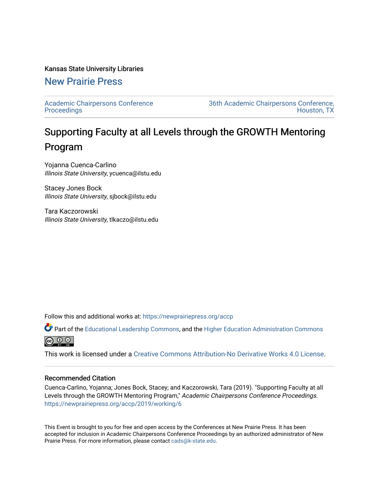## Kansas State University Libraries

# [New Prairie Press](https://newprairiepress.org/)

[Academic Chairpersons Conference](https://newprairiepress.org/accp)  **Proceedings** 

[36th Academic Chairpersons Conference,](https://newprairiepress.org/accp/2019)  [Houston, TX](https://newprairiepress.org/accp/2019) 

# Supporting Faculty at all Levels through the GROWTH Mentoring Program

Yojanna Cuenca-Carlino Illinois State University, ycuenca@ilstu.edu

Stacey Jones Bock Illinois State University, sjbock@ilstu.edu

Tara Kaczorowski Illinois State University, tlkaczo@ilstu.edu

Follow this and additional works at: [https://newprairiepress.org/accp](https://newprairiepress.org/accp?utm_source=newprairiepress.org%2Faccp%2F2019%2Fworking%2F6&utm_medium=PDF&utm_campaign=PDFCoverPages) 

Part of the [Educational Leadership Commons,](http://network.bepress.com/hgg/discipline/1230?utm_source=newprairiepress.org%2Faccp%2F2019%2Fworking%2F6&utm_medium=PDF&utm_campaign=PDFCoverPages) and the [Higher Education Administration Commons](http://network.bepress.com/hgg/discipline/791?utm_source=newprairiepress.org%2Faccp%2F2019%2Fworking%2F6&utm_medium=PDF&utm_campaign=PDFCoverPages) ര  $\odot$   $\odot$ 

This work is licensed under a [Creative Commons Attribution-No Derivative Works 4.0 License.](https://creativecommons.org/licenses/by-nd/4.0/)

### Recommended Citation

Cuenca-Carlino, Yojanna; Jones Bock, Stacey; and Kaczorowski, Tara (2019). "Supporting Faculty at all Levels through the GROWTH Mentoring Program," Academic Chairpersons Conference Proceedings. <https://newprairiepress.org/accp/2019/working/6>

This Event is brought to you for free and open access by the Conferences at New Prairie Press. It has been accepted for inclusion in Academic Chairpersons Conference Proceedings by an authorized administrator of New Prairie Press. For more information, please contact [cads@k-state.edu.](mailto:cads@k-state.edu)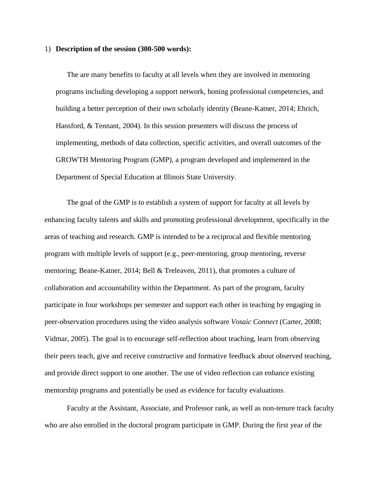#### 1) **Description of the session (300-500 words):**

The are many benefits to faculty at all levels when they are involved in mentoring programs including developing a support network, honing professional competencies, and building a better perception of their own scholarly identity (Beane-Katner, 2014; Ehrich, Hansford, & Tennant, 2004). In this session presenters will discuss the process of implementing, methods of data collection, specific activities, and overall outcomes of the GROWTH Mentoring Program (GMP), a program developed and implemented in the Department of Special Education at Illinois State University.

The goal of the GMP is to establish a system of support for faculty at all levels by enhancing faculty talents and skills and promoting professional development, specifically in the areas of teaching and research. GMP is intended to be a reciprocal and flexible mentoring program with multiple levels of support (e.g., peer-mentoring, group mentoring, reverse mentoring; Beane-Katner, 2014; Bell & Treleaven, 2011), that promotes a culture of collaboration and accountability within the Department. As part of the program, faculty participate in four workshops per semester and support each other in teaching by engaging in peer-observation procedures using the video analysis software *Vosaic Connect* (Carter, 2008; Vidmar, 2005). The goal is to encourage self-reflection about teaching, learn from observing their peers teach, give and receive constructive and formative feedback about observed teaching, and provide direct support to one another. The use of video reflection can enhance existing mentorship programs and potentially be used as evidence for faculty evaluations.

Faculty at the Assistant, Associate, and Professor rank, as well as non-tenure track faculty who are also enrolled in the doctoral program participate in GMP. During the first year of the